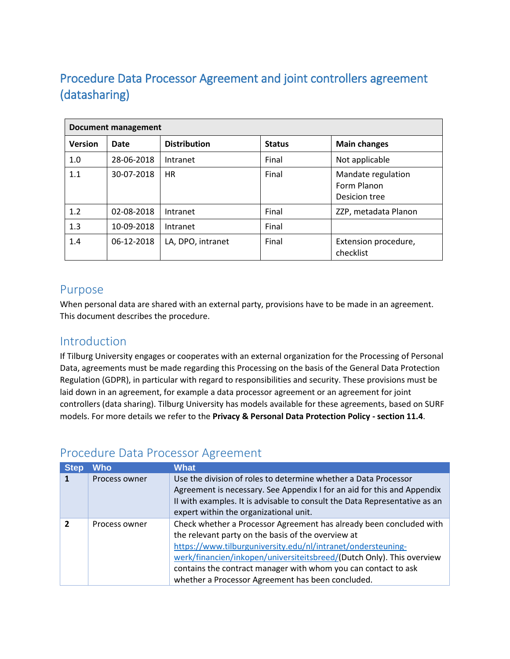# Procedure Data Processor Agreement and joint controllers agreement (datasharing)

| <b>Document management</b> |            |                     |               |                                                    |  |
|----------------------------|------------|---------------------|---------------|----------------------------------------------------|--|
| <b>Version</b>             | Date       | <b>Distribution</b> | <b>Status</b> | <b>Main changes</b>                                |  |
| 1.0                        | 28-06-2018 | Intranet            | Final         | Not applicable                                     |  |
| 1.1                        | 30-07-2018 | <b>HR</b>           | Final         | Mandate regulation<br>Form Planon<br>Desicion tree |  |
| 1.2                        | 02-08-2018 | Intranet            | Final         | ZZP, metadata Planon                               |  |
| 1.3                        | 10-09-2018 | Intranet            | Final         |                                                    |  |
| 1.4                        | 06-12-2018 | LA, DPO, intranet   | Final         | Extension procedure,<br>checklist                  |  |

## Purpose

When personal data are shared with an external party, provisions have to be made in an agreement. This document describes the procedure.

## Introduction

If Tilburg University engages or cooperates with an external organization for the Processing of Personal Data, agreements must be made regarding this Processing on the basis of the General Data Protection Regulation (GDPR), in particular with regard to responsibilities and security. These provisions must be laid down in an agreement, for example a data processor agreement or an agreement for joint controllers (data sharing). Tilburg University has models available for these agreements, based on SURF models. For more details we refer to the **Privacy & Personal Data Protection Policy - section 11.4**.

## Procedure Data Processor Agreement

| <b>Step</b>    | Who           | What                                                                                                                                                                                                                                                                                                                                                                                      |
|----------------|---------------|-------------------------------------------------------------------------------------------------------------------------------------------------------------------------------------------------------------------------------------------------------------------------------------------------------------------------------------------------------------------------------------------|
| 1              | Process owner | Use the division of roles to determine whether a Data Processor<br>Agreement is necessary. See Appendix I for an aid for this and Appendix<br>II with examples. It is advisable to consult the Data Representative as an<br>expert within the organizational unit.                                                                                                                        |
| $\overline{2}$ | Process owner | Check whether a Processor Agreement has already been concluded with<br>the relevant party on the basis of the overview at<br>https://www.tilburguniversity.edu/nl/intranet/ondersteuning-<br>werk/financien/inkopen/universiteitsbreed/(Dutch Only). This overview<br>contains the contract manager with whom you can contact to ask<br>whether a Processor Agreement has been concluded. |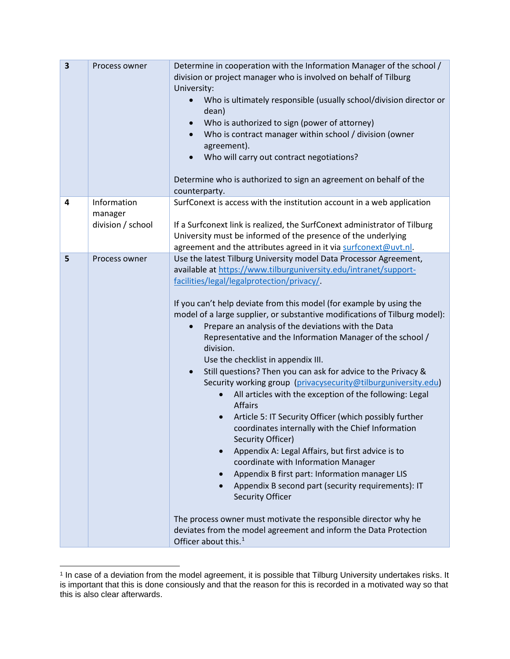| $\overline{\mathbf{3}}$ | Process owner                               | Determine in cooperation with the Information Manager of the school /<br>division or project manager who is involved on behalf of Tilburg<br>University:<br>Who is ultimately responsible (usually school/division director or<br>dean)<br>Who is authorized to sign (power of attorney)<br>Who is contract manager within school / division (owner<br>agreement).<br>Who will carry out contract negotiations?<br>Determine who is authorized to sign an agreement on behalf of the<br>counterparty.                                                                                                                                                                                                                                                                                                                                                                                                                                                                                                                                                                                                                                                                                                                                                                                                                                   |  |
|-------------------------|---------------------------------------------|-----------------------------------------------------------------------------------------------------------------------------------------------------------------------------------------------------------------------------------------------------------------------------------------------------------------------------------------------------------------------------------------------------------------------------------------------------------------------------------------------------------------------------------------------------------------------------------------------------------------------------------------------------------------------------------------------------------------------------------------------------------------------------------------------------------------------------------------------------------------------------------------------------------------------------------------------------------------------------------------------------------------------------------------------------------------------------------------------------------------------------------------------------------------------------------------------------------------------------------------------------------------------------------------------------------------------------------------|--|
| 4                       | Information<br>manager<br>division / school | SurfConext is access with the institution account in a web application<br>If a Surfconext link is realized, the SurfConext administrator of Tilburg<br>University must be informed of the presence of the underlying                                                                                                                                                                                                                                                                                                                                                                                                                                                                                                                                                                                                                                                                                                                                                                                                                                                                                                                                                                                                                                                                                                                    |  |
| 5                       | Process owner                               | agreement and the attributes agreed in it via surfconext@uvt.nl.<br>Use the latest Tilburg University model Data Processor Agreement,<br>available at https://www.tilburguniversity.edu/intranet/support-<br>facilities/legal/legalprotection/privacy/<br>If you can't help deviate from this model (for example by using the<br>model of a large supplier, or substantive modifications of Tilburg model):<br>Prepare an analysis of the deviations with the Data<br>Representative and the Information Manager of the school /<br>division.<br>Use the checklist in appendix III.<br>Still questions? Then you can ask for advice to the Privacy &<br>$\bullet$<br>Security working group (privacysecurity@tilburguniversity.edu)<br>All articles with the exception of the following: Legal<br><b>Affairs</b><br>Article 5: IT Security Officer (which possibly further<br>coordinates internally with the Chief Information<br>Security Officer)<br>Appendix A: Legal Affairs, but first advice is to<br>$\bullet$<br>coordinate with Information Manager<br>Appendix B first part: Information manager LIS<br>Appendix B second part (security requirements): IT<br><b>Security Officer</b><br>The process owner must motivate the responsible director why he<br>deviates from the model agreement and inform the Data Protection |  |

<span id="page-1-0"></span> <sup>1</sup> In case of a deviation from the model agreement, it is possible that Tilburg University undertakes risks. It is important that this is done consiously and that the reason for this is recorded in a motivated way so that this is also clear afterwards.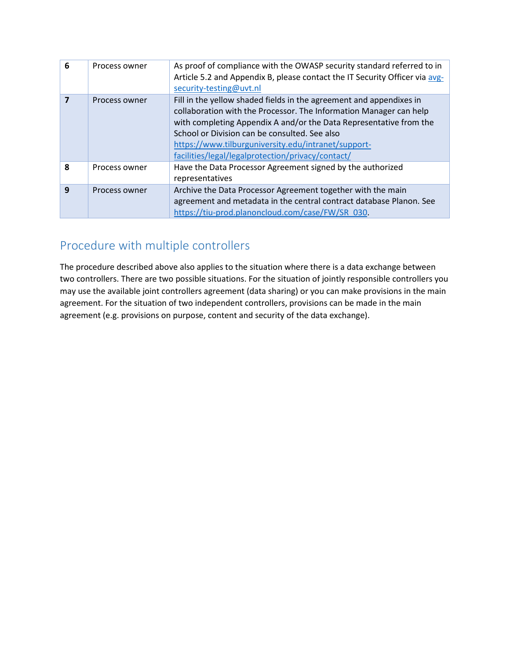| 6 | Process owner | As proof of compliance with the OWASP security standard referred to in<br>Article 5.2 and Appendix B, please contact the IT Security Officer via avg-<br>security-testing@uvt.nl                                                                                                                                                                                             |
|---|---------------|------------------------------------------------------------------------------------------------------------------------------------------------------------------------------------------------------------------------------------------------------------------------------------------------------------------------------------------------------------------------------|
|   | Process owner | Fill in the yellow shaded fields in the agreement and appendixes in<br>collaboration with the Processor. The Information Manager can help<br>with completing Appendix A and/or the Data Representative from the<br>School or Division can be consulted. See also<br>https://www.tilburguniversity.edu/intranet/support-<br>facilities/legal/legalprotection/privacy/contact/ |
| 8 | Process owner | Have the Data Processor Agreement signed by the authorized<br>representatives                                                                                                                                                                                                                                                                                                |
| 9 | Process owner | Archive the Data Processor Agreement together with the main<br>agreement and metadata in the central contract database Planon. See<br>https://tiu-prod.planoncloud.com/case/FW/SR 030.                                                                                                                                                                                       |

# Procedure with multiple controllers

The procedure described above also applies to the situation where there is a data exchange between two controllers. There are two possible situations. For the situation of jointly responsible controllers you may use the available joint controllers agreement (data sharing) or you can make provisions in the main agreement. For the situation of two independent controllers, provisions can be made in the main agreement (e.g. provisions on purpose, content and security of the data exchange).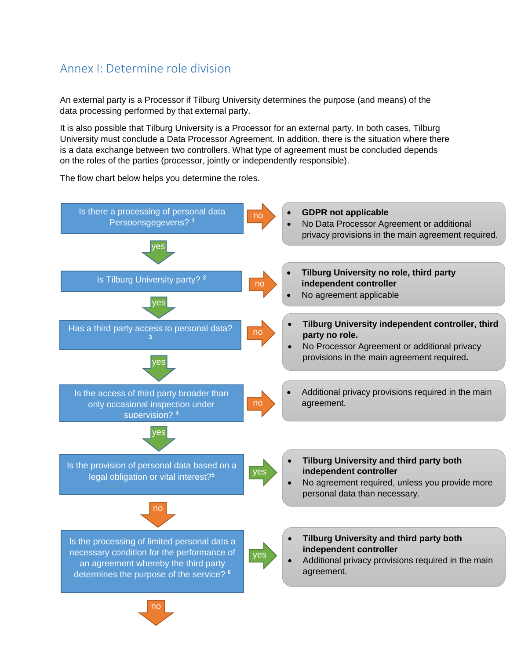## Annex I: Determine role division

An external party is a Processor if Tilburg University determines the purpose (and means) of the data processing performed by that external party.

It is also possible that Tilburg University is a Processor for an external party. In both cases, Tilburg University must conclude a Data Processor Agreement. In addition, there is the situation where there is a data exchange between two controllers. What type of agreement must be concluded depends on the roles of the parties (processor, jointly or independently responsible).



The flow chart below helps you determine the roles.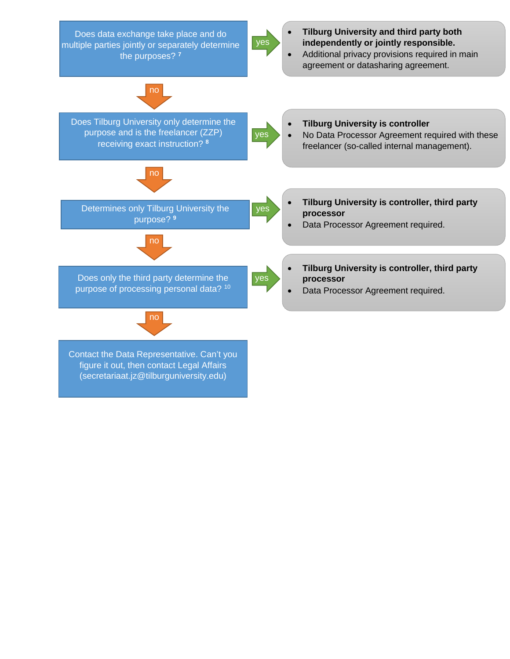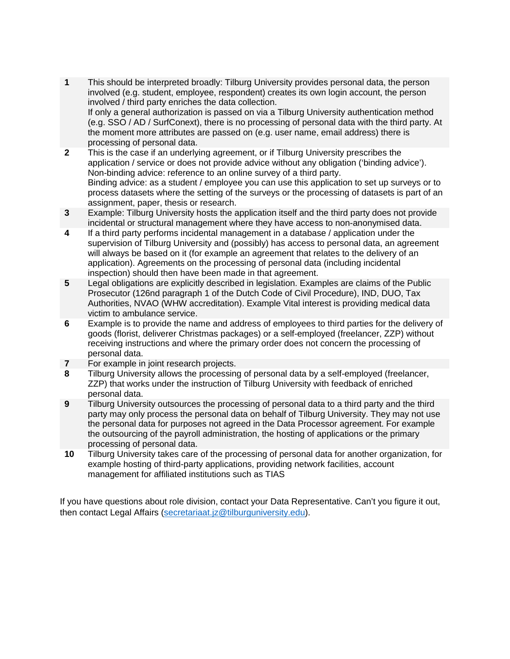- **1** This should be interpreted broadly: Tilburg University provides personal data, the person involved (e.g. student, employee, respondent) creates its own login account, the person involved / third party enriches the data collection. If only a general authorization is passed on via a Tilburg University authentication method (e.g. SSO / AD / SurfConext), there is no processing of personal data with the third party. At the moment more attributes are passed on (e.g. user name, email address) there is processing of personal data.
- **2** This is the case if an underlying agreement, or if Tilburg University prescribes the application / service or does not provide advice without any obligation ('binding advice'). Non-binding advice: reference to an online survey of a third party. Binding advice: as a student / employee you can use this application to set up surveys or to process datasets where the setting of the surveys or the processing of datasets is part of an assignment, paper, thesis or research.
- **3** Example: Tilburg University hosts the application itself and the third party does not provide incidental or structural management where they have access to non-anonymised data.
- **4** If a third party performs incidental management in a database / application under the supervision of Tilburg University and (possibly) has access to personal data, an agreement will always be based on it (for example an agreement that relates to the delivery of an application). Agreements on the processing of personal data (including incidental inspection) should then have been made in that agreement.
- **5** Legal obligations are explicitly described in legislation. Examples are claims of the Public Prosecutor (126nd paragraph 1 of the Dutch Code of Civil Procedure), IND, DUO, Tax Authorities, NVAO (WHW accreditation). Example Vital interest is providing medical data victim to ambulance service.
- **6** Example is to provide the name and address of employees to third parties for the delivery of goods (florist, deliverer Christmas packages) or a self-employed (freelancer, ZZP) without receiving instructions and where the primary order does not concern the processing of personal data.
- **7** For example in joint research projects.
- **8** Tilburg University allows the processing of personal data by a self-employed (freelancer, ZZP) that works under the instruction of Tilburg University with feedback of enriched personal data.
- **9** Tilburg University outsources the processing of personal data to a third party and the third party may only process the personal data on behalf of Tilburg University. They may not use the personal data for purposes not agreed in the Data Processor agreement. For example the outsourcing of the payroll administration, the hosting of applications or the primary processing of personal data.
- **10** Tilburg University takes care of the processing of personal data for another organization, for example hosting of third-party applications, providing network facilities, account management for affiliated institutions such as TIAS

If you have questions about role division, contact your Data Representative. Can't you figure it out, then contact Legal Affairs [\(secretariaat.jz@tilburguniversity.edu\)](mailto:secretariaat.jz@tilburguniversity.edu).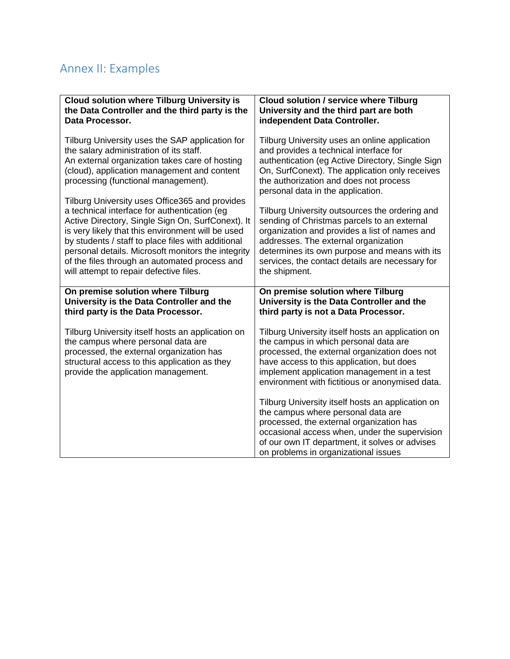# Annex II: Examples

| <b>Cloud solution where Tilburg University is</b><br>the Data Controller and the third party is the<br>Data Processor.                                                                                                                                                                                                                                                                                           | <b>Cloud solution / service where Tilburg</b><br>University and the third part are both<br>independent Data Controller.                                                                                                                                                                                     |
|------------------------------------------------------------------------------------------------------------------------------------------------------------------------------------------------------------------------------------------------------------------------------------------------------------------------------------------------------------------------------------------------------------------|-------------------------------------------------------------------------------------------------------------------------------------------------------------------------------------------------------------------------------------------------------------------------------------------------------------|
| Tilburg University uses the SAP application for<br>the salary administration of its staff.<br>An external organization takes care of hosting<br>(cloud), application management and content<br>processing (functional management).                                                                                                                                                                               | Tilburg University uses an online application<br>and provides a technical interface for<br>authentication (eg Active Directory, Single Sign<br>On, SurfConext). The application only receives<br>the authorization and does not process<br>personal data in the application.                                |
| Tilburg University uses Office365 and provides<br>a technical interface for authentication (eg<br>Active Directory, Single Sign On, SurfConext). It<br>is very likely that this environment will be used<br>by students / staff to place files with additional<br>personal details. Microsoft monitors the integrity<br>of the files through an automated process and<br>will attempt to repair defective files. | Tilburg University outsources the ordering and<br>sending of Christmas parcels to an external<br>organization and provides a list of names and<br>addresses. The external organization<br>determines its own purpose and means with its<br>services, the contact details are necessary for<br>the shipment. |
| On premise solution where Tilburg<br>University is the Data Controller and the<br>third party is the Data Processor.                                                                                                                                                                                                                                                                                             | On premise solution where Tilburg<br>University is the Data Controller and the<br>third party is not a Data Processor.                                                                                                                                                                                      |
| Tilburg University itself hosts an application on<br>the campus where personal data are<br>processed, the external organization has<br>structural access to this application as they<br>provide the application management.                                                                                                                                                                                      | Tilburg University itself hosts an application on<br>the campus in which personal data are<br>processed, the external organization does not<br>have access to this application, but does<br>implement application management in a test<br>environment with fictitious or anonymised data.                   |
|                                                                                                                                                                                                                                                                                                                                                                                                                  | Tilburg University itself hosts an application on<br>the campus where personal data are<br>processed, the external organization has<br>occasional access when, under the supervision<br>of our own IT department, it solves or advises<br>on problems in organizational issues                              |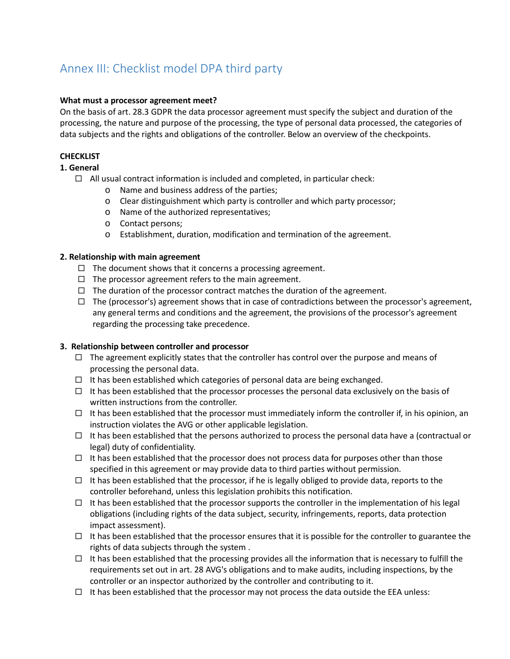# Annex III: Checklist model DPA third party

#### **What must a processor agreement meet?**

On the basis of art. 28.3 GDPR the data processor agreement must specify the subject and duration of the processing, the nature and purpose of the processing, the type of personal data processed, the categories of data subjects and the rights and obligations of the controller. Below an overview of the checkpoints.

#### **CHECKLIST**

**1. General**

- $\Box$  All usual contract information is included and completed, in particular check:
	- o Name and business address of the parties;
	- o Clear distinguishment which party is controller and which party processor;
	- o Name of the authorized representatives;
	- o Contact persons;
	- o Establishment, duration, modification and termination of the agreement.

#### **2. Relationship with main agreement**

- $\Box$  The document shows that it concerns a processing agreement.
- $\Box$  The processor agreement refers to the main agreement.
- $\Box$  The duration of the processor contract matches the duration of the agreement.
- $\Box$  The (processor's) agreement shows that in case of contradictions between the processor's agreement, any general terms and conditions and the agreement, the provisions of the processor's agreement regarding the processing take precedence.

#### **3. Relationship between controller and processor**

- $\Box$  The agreement explicitly states that the controller has control over the purpose and means of processing the personal data.
- $\Box$  It has been established which categories of personal data are being exchanged.
- $\Box$  It has been established that the processor processes the personal data exclusively on the basis of written instructions from the controller.
- $\Box$  It has been established that the processor must immediately inform the controller if, in his opinion, an instruction violates the AVG or other applicable legislation.
- $\Box$  It has been established that the persons authorized to process the personal data have a (contractual or legal) duty of confidentiality.
- $\Box$  It has been established that the processor does not process data for purposes other than those specified in this agreement or may provide data to third parties without permission.
- $\Box$  It has been established that the processor, if he is legally obliged to provide data, reports to the controller beforehand, unless this legislation prohibits this notification.
- $\Box$  It has been established that the processor supports the controller in the implementation of his legal obligations (including rights of the data subject, security, infringements, reports, data protection impact assessment).
- $\Box$  It has been established that the processor ensures that it is possible for the controller to guarantee the rights of data subjects through the system .
- $\Box$  It has been established that the processing provides all the information that is necessary to fulfill the requirements set out in art. 28 AVG's obligations and to make audits, including inspections, by the controller or an inspector authorized by the controller and contributing to it.
- $\Box$  It has been established that the processor may not process the data outside the EEA unless: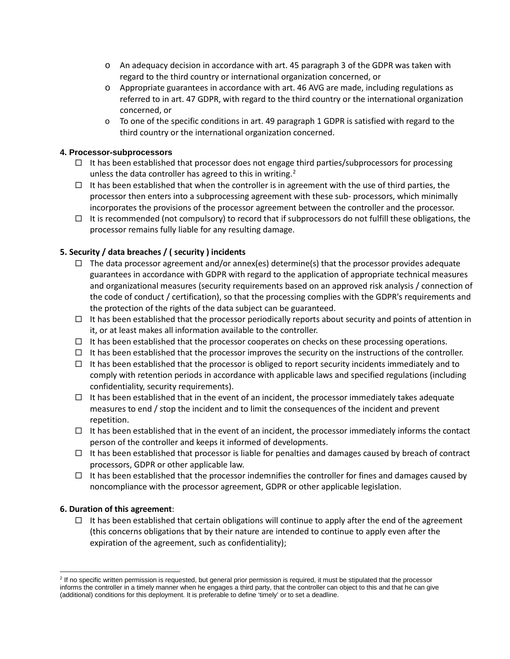- $\circ$  An adequacy decision in accordance with art. 45 paragraph 3 of the GDPR was taken with regard to the third country or international organization concerned, or
- o Appropriate guarantees in accordance with art. 46 AVG are made, including regulations as referred to in art. 47 GDPR, with regard to the third country or the international organization concerned, or
- $\circ$  To one of the specific conditions in art. 49 paragraph 1 GDPR is satisfied with regard to the third country or the international organization concerned.

#### **4. Processor-subprocessors**

- $\Box$  It has been established that processor does not engage third parties/subprocessors for processing unless the data controller has agreed to this in writing.<sup>[2](#page-8-0)</sup>
- $\Box$  It has been established that when the controller is in agreement with the use of third parties, the processor then enters into a subprocessing agreement with these sub- processors, which minimally incorporates the provisions of the processor agreement between the controller and the processor.
- $\Box$  It is recommended (not compulsory) to record that if subprocessors do not fulfill these obligations, the processor remains fully liable for any resulting damage.

#### **5. Security / data breaches / ( security ) incidents**

- $\Box$  The data processor agreement and/or annex(es) determine(s) that the processor provides adequate guarantees in accordance with GDPR with regard to the application of appropriate technical measures and organizational measures (security requirements based on an approved risk analysis / connection of the code of conduct / certification), so that the processing complies with the GDPR's requirements and the protection of the rights of the data subject can be guaranteed.
- $\Box$  It has been established that the processor periodically reports about security and points of attention in it, or at least makes all information available to the controller.
- $\Box$  It has been established that the processor cooperates on checks on these processing operations.
- $\Box$  It has been established that the processor improves the security on the instructions of the controller.
- $\Box$  It has been established that the processor is obliged to report security incidents immediately and to comply with retention periods in accordance with applicable laws and specified regulations (including confidentiality, security requirements).
- $\Box$  It has been established that in the event of an incident, the processor immediately takes adequate measures to end / stop the incident and to limit the consequences of the incident and prevent repetition.
- $\Box$  It has been established that in the event of an incident, the processor immediately informs the contact person of the controller and keeps it informed of developments.
- $\Box$  It has been established that processor is liable for penalties and damages caused by breach of contract processors, GDPR or other applicable law.
- $\Box$  It has been established that the processor indemnifies the controller for fines and damages caused by noncompliance with the processor agreement, GDPR or other applicable legislation.

#### **6. Duration of this agreement**:

 $\Box$  It has been established that certain obligations will continue to apply after the end of the agreement (this concerns obligations that by their nature are intended to continue to apply even after the expiration of the agreement, such as confidentiality);

<span id="page-8-0"></span><sup>&</sup>lt;sup>2</sup> If no specific written permission is requested, but general prior permission is required, it must be stipulated that the processor informs the controller in a timely manner when he engages a third party, that the controller can object to this and that he can give (additional) conditions for this deployment. It is preferable to define 'timely' or to set a deadline.